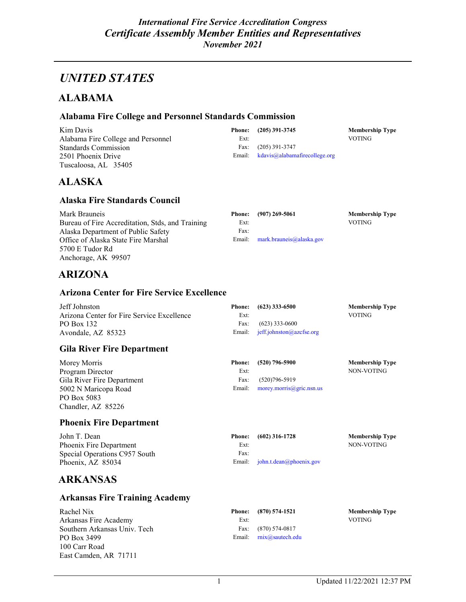## *UNITED STATES*

### **ALABAMA**

### **[Alabama Fire College and Personnel Standards Commission](http://www.alabamafirecollege.org/)**

| Kim Davis                          |      | Phone: (205) 391-3745                                               | <b>Membership Type</b> |
|------------------------------------|------|---------------------------------------------------------------------|------------------------|
| Alabama Fire College and Personnel | Ext: |                                                                     | VOTING.                |
| Standards Commission               |      | Fax: $(205)$ 391-3747                                               |                        |
| 2501 Phoenix Drive                 |      | Email: $k \frac{da \text{vis}(a)}{ab \text{an} a}$ here college org |                        |
| Tuscaloosa, AL 35405               |      |                                                                     |                        |

### **ALASKA**

#### **Alaska Fire Standards Council**

| Mark Brauneis                                    |      | Phone: (907) 269-5061             | <b>Membership Type</b> |
|--------------------------------------------------|------|-----------------------------------|------------------------|
| Bureau of Fire Accreditation, Stds, and Training | Ext: |                                   | VOTING.                |
| Alaska Department of Public Safety               | Fax: |                                   |                        |
| Office of Alaska State Fire Marshal              |      | Email: $mark.brauneis@alaska.gov$ |                        |
| 5700 E Tudor Rd                                  |      |                                   |                        |
| Anchorage, AK 99507                              |      |                                   |                        |

### **ARIZONA**

#### **Arizona Center for Fire Service Excellence**

| Jeff Johnston                              |      | Phone: $(623)$ 333-6500            | <b>Membership Type</b> |
|--------------------------------------------|------|------------------------------------|------------------------|
| Arizona Center for Fire Service Excellence | Ext: |                                    | VOTING.                |
| PO Box 132                                 |      | Fax: $(623)$ 333-0600              |                        |
| Avondale, AZ 85323                         |      | Email: $j$ eff.johnston@azcfse.org |                        |

### **Gila River Fire Department**

| Morey Morris               |      | Phone: (520) 796-5900             | <b>Membership Type</b> |
|----------------------------|------|-----------------------------------|------------------------|
| Program Director           | Ext: |                                   | NON-VOTING             |
| Gila River Fire Department | Fax: | $(520)796 - 5919$                 |                        |
| 5002 N Maricopa Road       |      | Email: $morey.morris@gric.nsn.us$ |                        |
| PO Box 5083                |      |                                   |                        |
| Chandler, AZ 85226         |      |                                   |                        |

### **Phoenix Fire Department**

| John T. Dean                  |      | Phone: (602) 316-1728                      | Membership Type |
|-------------------------------|------|--------------------------------------------|-----------------|
| Phoenix Fire Department       | Ext: |                                            | NON-VOTING      |
| Special Operations C957 South | Fax: |                                            |                 |
| Phoenix, AZ 85034             |      | Email: $\mathbf{i}$ ohn.t.dean@phoenix.gov |                 |

### **ARKANSAS**

### **Arkansas Fire Training Academy**

| Rachel Nix                   |      | Phone: (870) 574-1521              | <b>Membership Type</b> |
|------------------------------|------|------------------------------------|------------------------|
| Arkansas Fire Academy        | Ext: |                                    | <b>VOTING</b>          |
| Southern Arkansas Univ. Tech |      | Fax: (870) 574-0817                |                        |
| PO Box 3499                  |      | Email: $\text{mix}(a)$ sautech.edu |                        |
| 100 Carr Road                |      |                                    |                        |
| East Camden, AR 71711        |      |                                    |                        |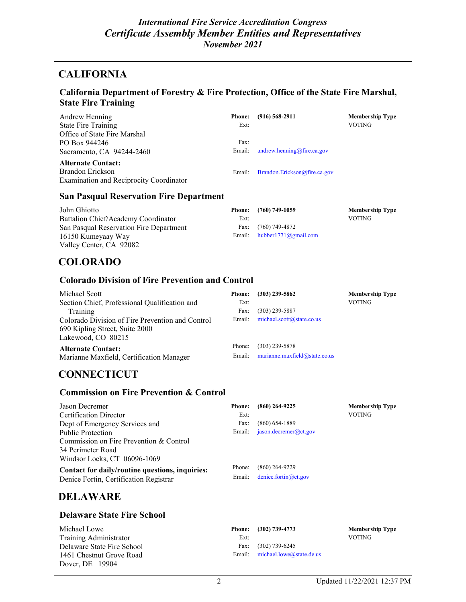### **CALIFORNIA**

### **California Department of Forestry & Fire Protection, Office of the State Fire Marshal, State Fire Training**

| Andrew Henning                          | <b>Phone:</b> | $(916) 568 - 2911$           | <b>Membership Type</b> |
|-----------------------------------------|---------------|------------------------------|------------------------|
| <b>State Fire Training</b>              | Ext:          |                              | VOTING                 |
| Office of State Fire Marshal            |               |                              |                        |
| PO Box 944246                           | Fax:          |                              |                        |
| Sacramento, CA 94244-2460               | Email:        | andrew.henning@fire.ca.gov   |                        |
| <b>Alternate Contact:</b>               |               |                              |                        |
| Brandon Erickson                        | Email:        | Brandon.Erickson@fire.ca.gov |                        |
| Examination and Reciprocity Coordinator |               |                              |                        |

#### **San Pasqual Reservation Fire Department**

| John Ghiotto                            |      | Phone: (760) 749-1059         | <b>Membership Type</b> |
|-----------------------------------------|------|-------------------------------|------------------------|
| Battalion Chief/Academy Coordinator     | Ext: |                               | VOTING.                |
| San Pasqual Reservation Fire Department |      | Fax: $(760)$ 749-4872         |                        |
| 16150 Kumeyaay Way                      |      | Email: $hubber1771@gmail.com$ |                        |
| Valley Center, CA 92082                 |      |                               |                        |

### **COLORADO**

#### **[Colorado Division of Fire Prevention and Control](https://www.colorado.gov/dfpc)**

| Michael Scott                                    | <b>Phone:</b> | $(303)$ 239-5862              | <b>Membership Type</b> |
|--------------------------------------------------|---------------|-------------------------------|------------------------|
| Section Chief, Professional Qualification and    | Ext:          |                               | <b>VOTING</b>          |
| Training                                         | Fax:          | $(303)$ 239-5887              |                        |
| Colorado Division of Fire Prevention and Control | Email:        | michael.scott@state.co.us     |                        |
| 690 Kipling Street, Suite 2000                   |               |                               |                        |
| Lakewood, CO 80215                               |               |                               |                        |
| <b>Alternate Contact:</b>                        | Phone:        | $(303)$ 239-5878              |                        |
| Marianne Maxfield, Certification Manager         | Email:        | marianne.maxfield@state.co.us |                        |

### **CONNECTICUT**

### **[Commission on Fire Prevention & Control](http://www.state.ct.us/cfpc)**

| Jason Decremer                                  | <b>Phone:</b> | $(860)$ 264-9225         | <b>Membership Type</b> |
|-------------------------------------------------|---------------|--------------------------|------------------------|
| Certification Director                          | Ext:          |                          | VOTING                 |
| Dept of Emergency Services and                  | Fax:          | $(860)$ 654-1889         |                        |
| <b>Public Protection</b>                        | Email:        | jason. decrement@ct.gov  |                        |
| Commission on Fire Prevention & Control         |               |                          |                        |
| 34 Perimeter Road                               |               |                          |                        |
| Windsor Locks, CT 06096-1069                    |               |                          |                        |
| Contact for daily/routine questions, inquiries: | Phone:        | $(860)$ 264-9229         |                        |
| Denice Fortin, Certification Registrar          | Email:        | denice.fortin $@$ ct.gov |                        |

### **DELAWARE**

#### **Delaware State Fire School**

| Michael Lowe               |      | Phone: (302) 739-4773           | <b>Membership Type</b> |
|----------------------------|------|---------------------------------|------------------------|
| Training Administrator     | Ext: |                                 | VOTING.                |
| Delaware State Fire School |      | Fax: (302) 739-6245             |                        |
| 1461 Chestnut Grove Road   |      | Email: michael.lowe@state.de.us |                        |
| Dover, DE 19904            |      |                                 |                        |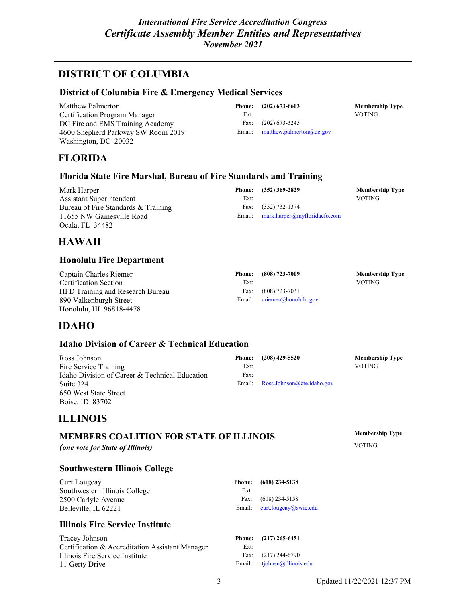### **DISTRICT OF COLUMBIA**

#### **[District of Columbia Fire & Emergency Medical Services](http://www.dcfd.com/)**

| Matthew Palmerton                  |      | Phone: $(202)$ 673-6603         | <b>Membership Type</b> |
|------------------------------------|------|---------------------------------|------------------------|
| Certification Program Manager      | Ext: |                                 | <b>VOTING</b>          |
| DC Fire and EMS Training Academy   | Fax: | $(202)$ 673-3245                |                        |
| 4600 Shepherd Parkway SW Room 2019 |      | Email: matthew.palmerton@dc.gov |                        |
| Washington, DC 20032               |      |                                 |                        |

### **FLORIDA**

#### **[Florida State Fire Marshal, Bureau of Fire Standards and Training](http://www.myfloridacfo.com/Division/SFM/BFST/default.htm)**

| Mark Harper                         |      | Phone: (352) 369-2829               | <b>Membership Type</b> |
|-------------------------------------|------|-------------------------------------|------------------------|
| Assistant Superintendent            | Ext: |                                     | <b>VOTING</b>          |
| Bureau of Fire Standards & Training |      | Fax: (352) 732-1374                 |                        |
| 11655 NW Gainesville Road           |      | Email: mark.harper@myfloridacfo.com |                        |
| Ocala, FL 34482                     |      |                                     |                        |

### **HAWAII**

#### **Honolulu Fire Department**

| Captain Charles Riemer           |      | Phone: (808) 723-7009         | <b>Membership Type</b> |
|----------------------------------|------|-------------------------------|------------------------|
| Certification Section            | Ext: |                               | <b>VOTING</b>          |
| HFD Training and Research Bureau |      | Fax: (808) 723-7031           |                        |
| 890 Valkenburgh Street           |      | Email: $criemer@honolulu.gov$ |                        |
| Honolulu, HI 96818-4478          |      |                               |                        |

### **IDAHO**

#### **Idaho Division of Career & Technical Education**

| Ross Johnson                                   |      | Phone: (208) 429-5520             | <b>Membership Type</b> |
|------------------------------------------------|------|-----------------------------------|------------------------|
| Fire Service Training                          | Ext: |                                   | <b>VOTING</b>          |
| Idaho Division of Career & Technical Education | Fax: |                                   |                        |
| Suite 324                                      |      | Email: Ross.Johnson@cte.idaho.gov |                        |
| 650 West State Street                          |      |                                   |                        |

### **ILLINOIS**

Boise, ID 83702

### **MEMBERS COALITION FOR STATE OF ILLINOIS**

*(one vote for State of Illinois)*

#### **Southwestern Illinois College**

| Curt Lougeay                  |      | Phone: (618) 234-5138                           |
|-------------------------------|------|-------------------------------------------------|
| Southwestern Illinois College | Ext: |                                                 |
| 2500 Carlyle Avenue           |      | Fax: $(618)$ 234-5158                           |
| Belleville. IL 62221          |      | Email: $\text{curl.}$ lougeay $\omega$ swic.edu |
|                               |      |                                                 |

### **Illinois Fire Service Institute**

Tracey Johnson Certification & Accreditation Assistant Manager Illinois Fire Service Institute 11 Gerty Drive

|       | ne: (618) 234-5138    |
|-------|-----------------------|
| Ext:  |                       |
| ax:   | $(618)$ 234-5158      |
| نانور | curt lougeau@ewic edu |

### **Phone: (217) 265-6451**

Ext: Fax: (217) 244-6790 Email : [tjohnsn@illinois.edu](mailto:tjohnsn@illinois.edu) **Membership Type** VOTING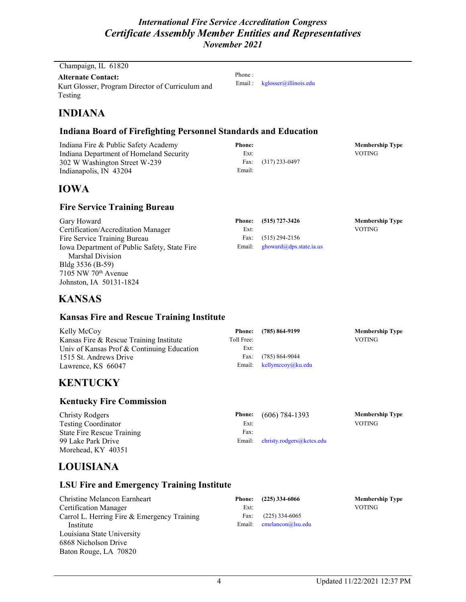Phone :

Email : [kglosser@illinois.edu](mailto:kglosser@illinois.edu)

Champaign, IL 61820

**Alternate Contact:** Kurt Glosser, Program Director of Curriculum and Testing

### **INDIANA**

### **[Indiana Board of Firefighting Personnel Standards and Education](http://www.in.gov/dhs/firecertification.htm)**

Indiana Fire & Public Safety Academy Indiana Department of Homeland Security 302 W Washington Street W-239 Indianapolis, IN 43204 **Phone: Membership Type** Ext: VOTING Fax: (317) 233-0497 Email:

### **IOWA**

### **[Fire Service Training Bureau](http://www.state.ia.us/government/dps/fm/fstb)**

Gary Howard Certification/Accreditation Manager Fire Service Training Bureau Iowa Department of Public Safety, State Fire Marshal Division Bldg 3536 (B-59) 7105 NW 70th Avenue Johnston, IA 50131-1824

|      | Phone: (515) 727-3426                                                                                               | <b>Membership Type</b> |
|------|---------------------------------------------------------------------------------------------------------------------|------------------------|
| Ext: |                                                                                                                     | <b>VOTING</b>          |
|      | Fax: $(515)$ 294-2156                                                                                               |                        |
|      | Email: $\frac{g_{\text{flow}}}{g_{\text{flow}}}$ ghoward ( $\frac{\partial g_{\text{obs}}}{\partial s}$ state.ia.us |                        |

### **KANSAS**

### **[Kansas Fire and Rescue Training Institute](http://www.kuce.org/fire/index.php)**

| Kelly McCoy                                | <b>Phone:</b> | (785) 864-9199              | <b>Membership Type</b> |
|--------------------------------------------|---------------|-----------------------------|------------------------|
| Kansas Fire & Rescue Training Institute    | Toll Free:    |                             | <b>VOTING</b>          |
| Univ of Kansas Prof & Continuing Education | Ext:          |                             |                        |
| 1515 St. Andrews Drive                     | Fax:          | $(785) 864 - 9044$          |                        |
| Lawrence, KS 66047                         |               | Email: $k$ ellymccoy@ku.edu |                        |

### **KENTUCKY**

#### **[Kentucky Fire Commission](http://www.kyffcert.com/)**

| Christy Rodgers                   |      | Phone: $(606)$ 784-1393          | <b>Membership Type</b> |
|-----------------------------------|------|----------------------------------|------------------------|
| <b>Testing Coordinator</b>        | Ext: |                                  | <b>VOTING</b>          |
| <b>State Fire Rescue Training</b> | Fax: |                                  |                        |
| 99 Lake Park Drive                |      | Email: christy.rodgers@kctcs.edu |                        |
| Morehead, KY 40351                |      |                                  |                        |

### **LOUISIANA**

### **LSU Fire and Emergency Training Institute**

| Christine Melancon Earnheart                | <b>Phone:</b> | $(225)$ 334-6066     | <b>Membership Type</b> |
|---------------------------------------------|---------------|----------------------|------------------------|
| Certification Manager                       | Ext:          |                      | <b>VOTING</b>          |
| Carrol L. Herring Fire & Emergency Training | Fax:          | $(225)$ 334-6065     |                        |
| Institute                                   | Email:        | $cmelancon@$ lsu.edu |                        |
| Louisiana State University                  |               |                      |                        |
| 6868 Nicholson Drive                        |               |                      |                        |
| Baton Rouge, LA 70820                       |               |                      |                        |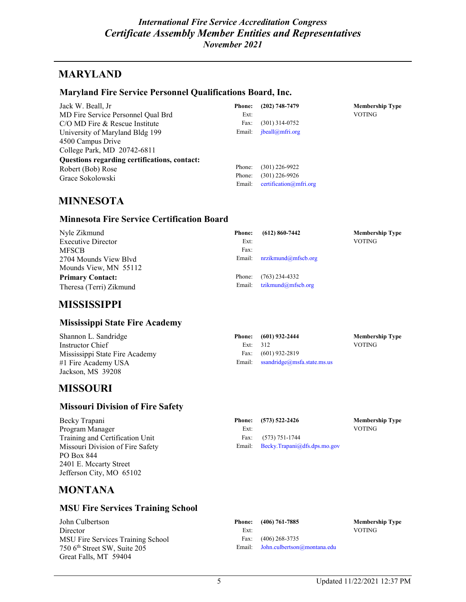### **MARYLAND**

#### **[Maryland Fire Service Personnel Qualifications Board, Inc.](https://zone.mfri.org/mfspqb/index.html)**

| Jack W. Beall, Jr                            | <b>Phone:</b> | $(202)$ 748-7479          | <b>Membership Type</b> |
|----------------------------------------------|---------------|---------------------------|------------------------|
| MD Fire Service Personnel Qual Brd           | Ext:          |                           | <b>VOTING</b>          |
| $C/O$ MD Fire $&$ Rescue Institute           | Fax:          | $(301)$ 314-0752          |                        |
| University of Maryland Bldg 199              | Email:        | jbeall@mfri.org           |                        |
| 4500 Campus Drive                            |               |                           |                        |
| College Park, MD 20742-6811                  |               |                           |                        |
| Questions regarding certifications, contact: |               |                           |                        |
| Robert (Bob) Rose                            | Phone:        | $(301)$ 226-9922          |                        |
| Grace Sokolowski                             | Phone:        | $(301)$ 226-9926          |                        |
|                                              | Email:        | $c$ ertification@mfri.org |                        |

### **MINNESOTA**

### **[Minnesota Fire Service Certification Board](http://www.mnfirecert.org/)**

| Nyle Zikmund              | <b>Phone:</b> | $(612) 860 - 7442$  | <b>Membership Type</b> |
|---------------------------|---------------|---------------------|------------------------|
| <b>Executive Director</b> | Ext:          |                     | <b>VOTING</b>          |
| <b>MFSCB</b>              | Fax:          |                     |                        |
| 2704 Mounds View Blyd     | Email:        | nrzikmund@mfscb.org |                        |
| Mounds View, MN 55112     |               |                     |                        |
| <b>Primary Contact:</b>   | Phone:        | $(763)$ 234-4332    |                        |
| Theresa (Terri) Zikmund   | Email:        | tzikmund@mfscb.org  |                        |

### **MISSISSIPPI**

#### **[Mississippi State Fire Academy](http://www.doi.state.ms.us/fireacad/fa_home.htm)**

| Shannon L. Sandridge           |          | Phone: (601) 932-2444                        | <b>Membership Type</b> |
|--------------------------------|----------|----------------------------------------------|------------------------|
| Instructor Chief               | Ext: 312 |                                              | VOTING                 |
| Mississippi State Fire Academy |          | Fax: $(601)$ 932-2819                        |                        |
| #1 Fire Academy USA            |          | Email: $ssandridge(\omega)$ msfa.state.ms.us |                        |
| Jackson, MS 39208              |          |                                              |                        |

### **MISSOURI**

#### **[Missouri Division of Fire Safety](http://www.dfs.dps.mo.gov/)**

Becky Trapani Program Manager Training and Certification Unit Missouri Division of Fire Safety PO Box 844 2401 E. Mccarty Street Jefferson City, MO 65102

|        | Phone: (573) 522-2426        | <b>Membership Type</b> |
|--------|------------------------------|------------------------|
| Ext:   |                              | <b>VOTING</b>          |
|        | Fax: $(573) 751 - 1744$      |                        |
| Email: | Becky.Trapani@dfs.dps.mo.gov |                        |
|        |                              |                        |

### **MONTANA**

### **MSU [Fire Services Training School](http://www.montana.edu/wwwfire/)**

| John Culbertson                          |      | Phone: (406) 761-7885              | <b>Membership Type</b> |
|------------------------------------------|------|------------------------------------|------------------------|
| Director                                 | Ext: |                                    | <b>VOTING</b>          |
| MSU Fire Services Training School        | Fax: | $(406)$ 268-3735                   |                        |
| 750 6 <sup>th</sup> Street SW, Suite 205 |      | Email: John.culbertson@montana.edu |                        |
| Great Falls, MT 59404                    |      |                                    |                        |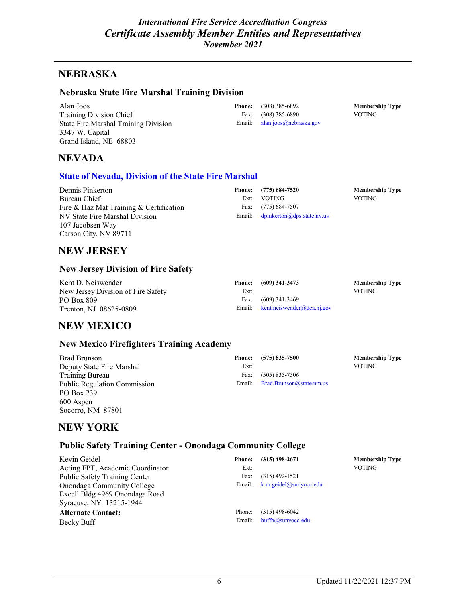### **NEBRASKA**

#### **[Nebraska State Fire Marshal Training Division](http://www.nebraskasfmtd.org/)**

Alan Joos Training Division Chief State Fire Marshal Training Division 3347 W. Capital Grand Island, NE 68803

**Phone:** (308) 385-6892 **Membership Type** Fax: (308) 385-6890 VOTING Email: [alan.joos@nebraska.gov](mailto:alan.joos@nebraska.gov)

### **NEVADA**

#### **[State of Nevada, Division of the State Fire Marshal](http://fire.state.nv.us/)**

| Dennis Pinkerton                        |      | Phone: (775) 684-7520               | <b>Membership Type</b> |
|-----------------------------------------|------|-------------------------------------|------------------------|
| Bureau Chief                            | Ext: | <b>VOTING</b>                       | <b>VOTING</b>          |
| Fire & Haz Mat Training & Certification |      | Fax: (775) 684-7507                 |                        |
| NV State Fire Marshal Division          |      | Email: $dpinkerton@dps.state.nv.us$ |                        |
| 107 Jacobsen Way                        |      |                                     |                        |
| Carson City, NV 89711                   |      |                                     |                        |

### **NEW JERSEY**

#### **New Jersey Division of Fire Safety**

| Kent D. Neiswender                 |      | Phone: (609) 341-3473             | <b>Membership Type</b> |
|------------------------------------|------|-----------------------------------|------------------------|
| New Jersey Division of Fire Safety | Ext: |                                   | <b>VOTING</b>          |
| PO Box 809                         |      | Fax: $(609)$ 341-3469             |                        |
| Trenton, NJ 08625-0809             |      | Email: kent.neiswender@dca.nj.gov |                        |

### **NEW MEXICO**

#### **New Mexico Firefighters Training Academy**

| <b>Brad Brunson</b><br>Deputy State Fire Marshal | <b>Phone:</b><br>Ext: | $(575) 835 - 7500$              | <b>Membership Type</b><br><b>VOTING</b> |
|--------------------------------------------------|-----------------------|---------------------------------|-----------------------------------------|
| <b>Training Bureau</b>                           | Fax:                  | $(505)$ 835-7506                |                                         |
| <b>Public Regulation Commission</b>              |                       | Email: Brad.Brunson@state.nm.us |                                         |
| PO Box 239                                       |                       |                                 |                                         |
| 600 Aspen                                        |                       |                                 |                                         |

### **NEW YORK**

Socorro, NM 87801

### **Public Safety Training Center - Onondaga Community College**

| Kevin Geidel                     | <b>Phone:</b> | $(315)$ 498-2671              | <b>Membership Type</b> |
|----------------------------------|---------------|-------------------------------|------------------------|
| Acting FPT, Academic Coordinator | Ext:          |                               | <b>VOTING</b>          |
| Public Safety Training Center    | Fax:          | $(315)$ 492-1521              |                        |
| Onondaga Community College       |               | Email: k.m.geidel@sunyocc.edu |                        |
| Excell Bldg 4969 Onondaga Road   |               |                               |                        |
| Syracuse, NY 13215-1944          |               |                               |                        |
| <b>Alternate Contact:</b>        | Phone:        | $(315)$ 498-6042              |                        |
| Becky Buff                       | Email:        | buffb@sunyocc.edu             |                        |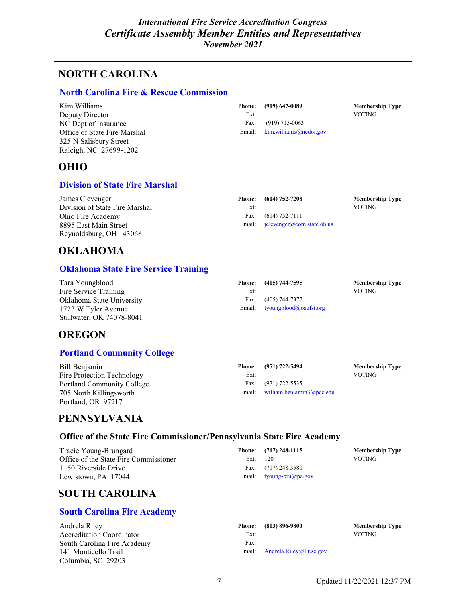## **NORTH CAROLINA**

#### **[North Carolina Fire & Rescue Commission](http://www.ncdoi.com/OSFM/default.asp)**

| Kim Williams                 |      | Phone: (919) 647-0089                              | <b>Membership Type</b> |
|------------------------------|------|----------------------------------------------------|------------------------|
| Deputy Director              | Ext: |                                                    | <b>VOTING</b>          |
| NC Dept of Insurance         | Fax: | $(919)$ 715-0063                                   |                        |
| Office of State Fire Marshal |      | Email: $\lim_{x \to 0}$ kim.williams (a) ncdoi.gov |                        |
| 325 N Salisbury Street       |      |                                                    |                        |
| Raleigh, NC 27699-1202       |      |                                                    |                        |

### **OHIO**

### **[Division of State Fire Marshal](http://www.com.state.oh.us/)**

| James Clevenger                |      | Phone: (614) 752-7208                | <b>Membership Type</b> |
|--------------------------------|------|--------------------------------------|------------------------|
| Division of State Fire Marshal | Ext: |                                      | VOTING.                |
| Ohio Fire Academy              |      | Fax: $(614) 752-7111$                |                        |
| 8895 East Main Street          |      | Email: $i$ clevenger@com.state.oh.us |                        |
| Reynoldsburg, OH 43068         |      |                                      |                        |

### **OKLAHOMA**

### **[Oklahoma State Fire Service Training](http://www.osufst.org/)**

| Tara Youngblood           | Phone: | (405) 744-7595                | <b>Membership Type</b> |
|---------------------------|--------|-------------------------------|------------------------|
| Fire Service Training     | Ext:   |                               | <b>VOTING</b>          |
| Oklahoma State University |        | Fax: (405) 744-7377           |                        |
| 1723 W Tyler Avenue       |        | Email: tyoungblood@osufst.org |                        |
| Stillwater, OK 74078-8041 |        |                               |                        |

### **OREGON**

### **[Portland Community College](http://www.pcc.edu/programs/fire-protection/certification.html)**

| Bill Benjamin                     |      | Phone: (971) 722-5494                | <b>Membership Type</b> |
|-----------------------------------|------|--------------------------------------|------------------------|
| Fire Protection Technology        | Ext: |                                      | VOTING                 |
| <b>Portland Community College</b> |      | Fax: (971) 722-5535                  |                        |
| 705 North Killingsworth           |      | Email: william.benjamin $3$ @pcc.edu |                        |
| Portland, OR 97217                |      |                                      |                        |

### **PENNSYLVANIA**

### **Office of the State Fire Commissioner/Pennsylvania State Fire Academy**

| Tracie Young-Brungard                 |            | Phone: (717) 248-1115    | <b>Membership Type</b> |
|---------------------------------------|------------|--------------------------|------------------------|
| Office of the State Fire Commissioner | Ext: $120$ |                          | <b>VOTING</b>          |
| 1150 Riverside Drive                  |            | Fax: $(717)$ 248-3580    |                        |
| Lewistown, PA 17044                   |            | Email: tyoung-bru@pa.gov |                        |

### **SOUTH CAROLINA**

### **[South Carolina Fire Academy](http://statefire.llr.sc.gov/scfa/index.aspx)**

|      | Phone: (803) 896-9800           | <b>Members</b> |
|------|---------------------------------|----------------|
| Ext: |                                 | VOTING         |
| Fax: |                                 |                |
|      | Email: Andrela.Riley@llr.sc.gov |                |

**Phone: (803) 896-9800 Membership Type**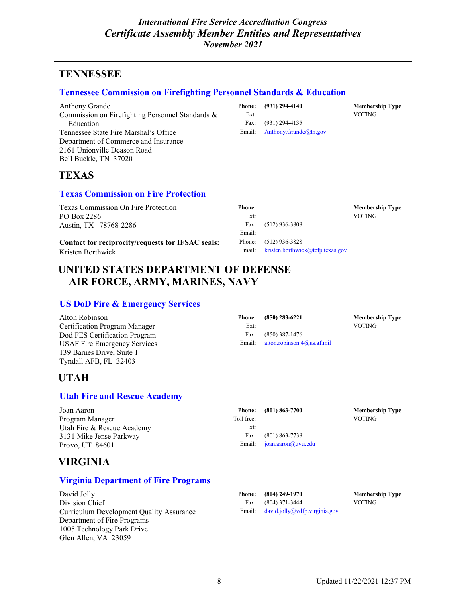### **TENNESSEE**

#### **[Tennessee Commission on Firefighting Personnel Standards & Education](http://www.tn.gov/fire/commFireFighting.shtml)**

Anthony Grande Commission on Firefighting Personnel Standards & Education Tennessee State Fire Marshal's Office Department of Commerce and Insurance 2161 Unionville Deason Road Bell Buckle, TN 37020

|      | Phone: (931) 294-4140        | <b>Membership Type</b> |
|------|------------------------------|------------------------|
| Ext: |                              | <b>VOTING</b>          |
|      | Fax: (931) 294-4135          |                        |
|      | Email: Anthony.Grande@tn.gov |                        |

### **TEXAS**

#### **[Texas Commission on Fire Protection](http://www.tcfp.texas.gov/)**

Texas Commission On Fire Protection PO Box 2286 Austin, TX 78768-2286

**Contact for reciprocity/requests for IFSAC seals:** Kristen Borthwick

| Phone: |                                         | <b>Membership Type</b> |
|--------|-----------------------------------------|------------------------|
| Ext:   |                                         | VOTING                 |
|        | Fax: $(512)$ 936-3808                   |                        |
| Email: |                                         |                        |
|        | Phone: (512) 936-3828                   |                        |
|        | Email: kristen.borthwick@tcfp.texas.gov |                        |
|        |                                         |                        |

### **UNITED STATES DEPARTMENT OF DEFENSE AIR FORCE, ARMY, MARINES, NAVY**

### **[US DoD Fire & Emergency Services](http://www.dodffcert.com/)**

| Alton Robinson                      | <b>Phone:</b> | $(850)$ 283-6221                  | <b>Membership Type</b> |
|-------------------------------------|---------------|-----------------------------------|------------------------|
| Certification Program Manager       | Ext:          |                                   | <b>VOTING</b>          |
| Dod FES Certification Program       | Fax:          | $(850)$ 387-1476                  |                        |
| <b>USAF Fire Emergency Services</b> |               | Email: alton.robinson.4@us.af.mil |                        |
| 139 Barnes Drive, Suite 1           |               |                                   |                        |

### **UTAH**

Tyndall AFB, FL 32403

#### **[Utah Fire and Rescue Academy](http://www.uvsc.edu/ufra/)**

| Joan Aaron                 |            | Phone: (801) 863-7700       | <b>Membership Type</b> |
|----------------------------|------------|-----------------------------|------------------------|
| Program Manager            | Toll free: |                             | <b>VOTING</b>          |
| Utah Fire & Rescue Academy | Ext:       |                             |                        |
| 3131 Mike Jense Parkway    | Fax:       | $(801)$ 863-7738            |                        |
| Provo. UT 84601            |            | Email: $joan.aaron@uvu.edu$ |                        |

### **VIRGINIA**

#### **[Virginia Department of Fire Programs](http://www.vafire.com/)**

David Jolly Division Chief Curriculum Development Quality Assurance Department of Fire Programs 1005 Technology Park Drive Glen Allen, VA 23059

| Ext: | Fax: (801) 863-7738<br>Email: joan.aaron@uvu.edu |
|------|--------------------------------------------------|
|      |                                                  |

|        | Phone: (804) 249-1970         | <b>Membership Type</b> |
|--------|-------------------------------|------------------------|
|        | Fax: $(804)$ 371-3444         | VOTING                 |
| Email: | david.jolly@vdfp.virginia.gov |                        |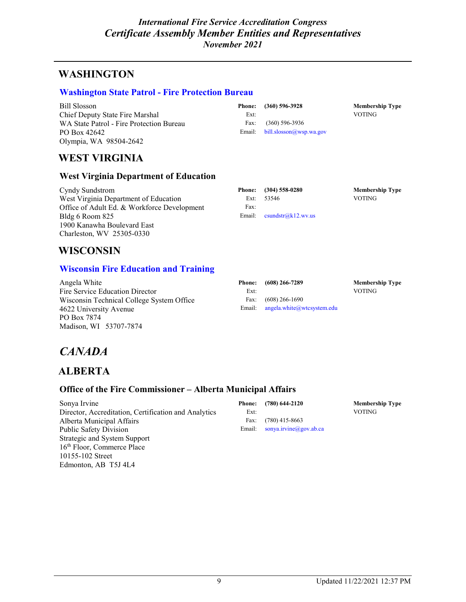## **WASHINGTON**

### **[Washington State Patrol -](http://www.wsp.wa.gov/fire) Fire Protection Bureau**

Bill Slosson Chief Deputy State Fire Marshal WA State Patrol - Fire Protection Bureau PO Box 42642 Olympia, WA 98504-2642

|      | Phone: (360) 596-3928                                           | <b>Membership Type</b> |
|------|-----------------------------------------------------------------|------------------------|
| Ext: |                                                                 | VOTING                 |
|      | Fax: (360) 596-3936                                             |                        |
|      | Email: $\frac{\text{bill}}{\text{slosson}(a\text{wsp.wa.gov})}$ |                        |

### **WEST VIRGINIA**

#### **West Virginia Department of Education**

Cyndy Sundstrom West Virginia Department of Education Office of Adult Ed. & Workforce Development Bldg 6 Room 825 1900 Kanawha Boulevard East Charleston, WV 25305-0330

|      | Phone: (304) 558-0280                                                                              | <b>Membership Type</b> |
|------|----------------------------------------------------------------------------------------------------|------------------------|
|      | Ext: $53546$                                                                                       | VOTING                 |
| Fax: |                                                                                                    |                        |
|      | Email: $\text{c} \text{sin} \text{d} \text{str}(\text{a} \text{k}12.\text{w} \text{v}. \text{us})$ |                        |

### **WISCONSIN**

### **[Wisconsin Fire Education and Training](http://mywtcs.wtcsystem.edu/fire-service)**

Angela White Fire Service Education Director Wisconsin Technical College System Office 4622 University Avenue PO Box 7874 Madison, WI 53707-7874

| Phone: | $(608)$ 266-7289              | <b>Membership Type</b> |
|--------|-------------------------------|------------------------|
| Ext:   |                               | <b>VOTING</b>          |
|        | Fax: $(608)$ 266-1690         |                        |
| Email: | $angle. white@w$ tcsystem.edu |                        |

# *CANADA*

### **ALBERTA**

10155-102 Street Edmonton, AB T5J 4L4

### **Office of the Fire Commissioner – Alberta Municipal Affairs**

| Sonya Irvine                                         |      | Phone: (780) 644-2120         |
|------------------------------------------------------|------|-------------------------------|
| Director, Accreditation, Certification and Analytics | Ext: |                               |
| Alberta Municipal Affairs                            | Fax: | $(780)$ 415-8663              |
| Public Safety Division                               |      | Email: sonya.irvine@gov.ab.ca |
| Strategic and System Support                         |      |                               |
| 16 <sup>th</sup> Floor, Commerce Place               |      |                               |

**Membership Type** VOTING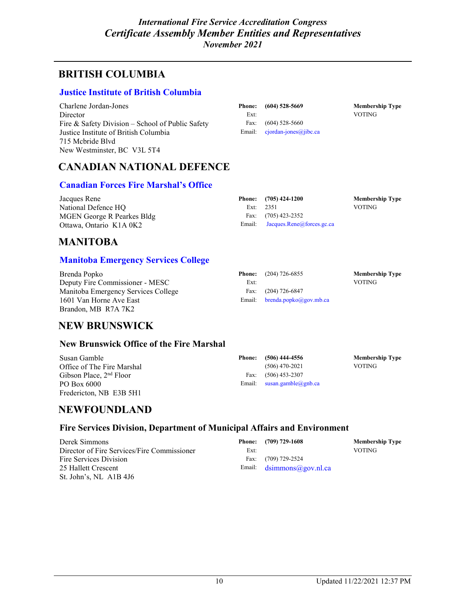### **BRITISH COLUMBIA**

### **[Justice Institute of British Columbia](http://www.jibc.bc.ca/)**

Charlene Jordan-Jones **Director** Fire & Safety Division – School of Public Safety Justice Institute of British Columbia 715 Mcbride Blvd New Westminster, BC V3L 5T4

| <b>Phone:</b> | $(604)$ 528-5669        |
|---------------|-------------------------|
| Ext:          |                         |
| Fax:          | $(604)$ 528-5660        |
| Email:        | $cjordan-jones@jibc.ca$ |

**Membership Type** VOTING

### **CANADIAN NATIONAL DEFENCE**

### **[Canadian Forces Fire Marshal's Office](http://www.admie.forces.gc.ca/index-eng.asp)**

| Jacques Rene               | Phone: $(705)$ 424-1200          | <b>Membership Type</b> |
|----------------------------|----------------------------------|------------------------|
| National Defence HO        | Ext: $2351$                      | <b>VOTING</b>          |
| MGEN George R Pearkes Bldg | Fax: $(705)$ 423-2352            |                        |
| Ottawa, Ontario K1A 0K2    | Email: Jacques.Rene@forces.gc.ca |                        |

### **MANITOBA**

### **[Manitoba Emergency Services College](http://www.firecomm.gov.mb.ca/home.html)**

| Brenda Popko                        |      | <b>Phone:</b> $(204)$ 726-6855          | <b>Membership Type</b> |
|-------------------------------------|------|-----------------------------------------|------------------------|
| Deputy Fire Commissioner - MESC     | Ext: |                                         | <b>VOTING</b>          |
| Manitoba Emergency Services College |      | Fax: $(204)$ 726-6847                   |                        |
| 1601 Van Horne Ave East             |      | Email: $brenda.popko(\omega gov.mb.ca)$ |                        |
| Brandon, MB R7A 7K2                 |      |                                         |                        |

### **NEW BRUNSWICK**

#### **New Brunswick Office of the Fire Marshal**

| Susan Gamble               | Phone: | (506) 444-4556               | <b>Membership Type</b> |
|----------------------------|--------|------------------------------|------------------------|
| Office of The Fire Marshal |        | $(506)$ 470-2021             | VOTING.                |
| Gibson Place, $2nd$ Floor  |        | Fax: $(506)$ 453-2307        |                        |
| PO Box 6000                |        | Email: $susan.gamble@gnb.ca$ |                        |
| Fredericton, NB E3B 5H1    |        |                              |                        |

### **NEWFOUNDLAND**

### **Fire Services Division, Department of Municipal Affairs and Environment**

Derek Simmons Director of Fire Services/Fire Commissioner Fire Services Division 25 Hallett Crescent St. John's, NL A1B 4J6

|      | Phone: (709) 729-1608              | <b>Membership Type</b> |
|------|------------------------------------|------------------------|
| Ext: |                                    | <b>VOTING</b>          |
|      | Fax: (709) 729-2524                |                        |
|      | Email: $dsimmons(\omega)gov.nl.ca$ |                        |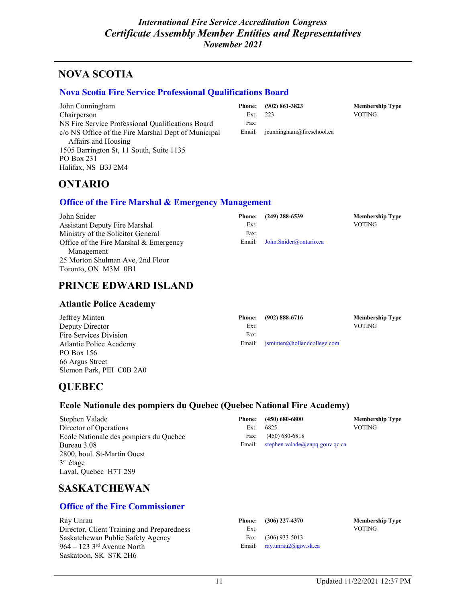### **NOVA SCOTIA**

#### **[Nova Scotia Fire Service Professional Qualifications Board](https://nsfspqb.ca/)**

John Cunningham Chairperson NS Fire Service Professional Qualifications Board c/o NS Office of the Fire Marshal Dept of Municipal Affairs and Housing 1505 Barrington St, 11 South, Suite 1135 PO Box 231 Halifax, NS B3J 2M4

|            | Phone: (902) 861-3823               | <b>Membership Type</b> |
|------------|-------------------------------------|------------------------|
| Ext: $223$ |                                     | <b>VOTING</b>          |
| Fax:       |                                     |                        |
|            | Email: $j$ cunningham@fireschool.ca |                        |

### **ONTARIO**

#### **Office of [the Fire Marshal](http://www.ofm.gov.on.ca/) & Emergency Management**

| John Snider                            | <b>Phone:</b> | (249) 288-6539                | <b>Membership Type</b> |
|----------------------------------------|---------------|-------------------------------|------------------------|
| Assistant Deputy Fire Marshal          | Ext:          |                               | <b>VOTING</b>          |
| Ministry of the Solicitor General      | Fax:          |                               |                        |
| Office of the Fire Marshal & Emergency |               | Email: John.Snider@ontario.ca |                        |
| Management                             |               |                               |                        |
| 25 Morton Shulman Ave, 2nd Floor       |               |                               |                        |
| Toronto, ON M3M 0B1                    |               |                               |                        |

### **PRINCE EDWARD ISLAND**

#### **Atlantic Police Academy**

| Jeffrey Minten           | <b>Phone:</b> | $(902) 888 - 6716$                                                                               | <b>Membership Type</b> |
|--------------------------|---------------|--------------------------------------------------------------------------------------------------|------------------------|
| Deputy Director          | Ext:          |                                                                                                  | <b>VOTING</b>          |
| Fire Services Division   | Fax:          |                                                                                                  |                        |
| Atlantic Police Academy  |               | Email: $\mathsf{isminten}(\mathcal{Q} \mathsf{holl} \mathsf{and} \mathsf{college}.\mathsf{com})$ |                        |
| PO Box 156               |               |                                                                                                  |                        |
| 66 Argus Street          |               |                                                                                                  |                        |
| Slemon Park, PEI C0B 2A0 |               |                                                                                                  |                        |

### **QUEBEC**

### **Ecole Nationale des pompiers du Quebec (Quebec National Fire Academy)**

Stephen Valade Director of Operations Ecole Nationale des pompiers du Quebec Bureau 3.08 2800, boul. St-Martin Ouest 3e étage Laval, Quebec H7T 2S9

|                                | <b>Membership Type</b>                                                  |
|--------------------------------|-------------------------------------------------------------------------|
|                                | <b>VOTING</b>                                                           |
|                                |                                                                         |
| stephen.valade@enpq.gouv.qc.ca |                                                                         |
|                                | Phone: (450) 680-6800<br>Ext: $6825$<br>Fax: $(450) 680-6818$<br>Email: |

### **SASKATCHEWAN**

### **[Office of the Fire Commissioner](http://www.cps.gov.sk.ca/Safety/fire/default.shtml)**

Ray Unrau Director, Client Training and Preparedness Saskatchewan Public Safety Agency 964 – 123 $3^{\text{rd}}$  Avenue North Saskatoon, SK S7K 2H6

| Phone: | $(306)$ 227-4370     |
|--------|----------------------|
| Ext:   |                      |
| Fax:   | $(306)$ 933-5013     |
| Email: | ray.unrau2@gov.sk.ca |

 $$ VOTING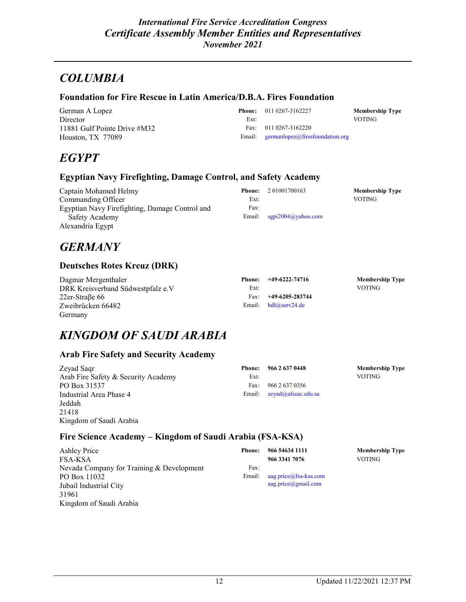## *COLUMBIA*

#### **Foundation for Fire Rescue in Latin America/D.B.A. Fires Foundation**

German A Lopez Director 11881 Gulf Pointe Drive #M32 Houston, TX 77089

**Phone:** 011 0267-3162227 **Membership Type** Ext: VOTING Fax: 011 0267-3162220 Email: [germanlopez@firesfoundation.org](mailto:germanlopez@firesfoundation.org)

## *EGYPT*

#### **Egyptian Navy Firefighting, Damage Control, and Safety Academy**

| Captain Mohamed Helmy                          | <b>Phone:</b> | 2 01001700163          | <b>Membership Type</b> |
|------------------------------------------------|---------------|------------------------|------------------------|
| Commanding Officer                             | Ext:          |                        | VOTING                 |
| Egyptian Navy Firefighting, Damage Control and | Fax:          |                        |                        |
| Safety Academy                                 | Email:        | sgpi $2004$ @yahoo.com |                        |
| Alexandria Egypt                               |               |                        |                        |

## *GERMANY*

### **Deutsches Rotes Kreuz (DRK)**

| Dagmar Mergenthaler               |      | Phone: $+49-6222-74716$ | <b>Membership Type</b> |
|-----------------------------------|------|-------------------------|------------------------|
| DRK Kreisverband Südwestpfalz e.V | Ext: |                         | <b>VOTING</b>          |
| $22er-StraBe 66$                  | Fax: | +49-6205-283744         |                        |
| Zweibrücken 66482                 |      | Email: $bdl@serv24.de$  |                        |
| Germany                           |      |                         |                        |

## *KINGDOM OF SAUDI ARABIA*

### **Arab Fire Safety and Security Academy**

| Zeyad Saqr                          |      | Phone: 966 2 637 0448           | <b>Membership Type</b> |
|-------------------------------------|------|---------------------------------|------------------------|
| Arab Fire Safety & Security Academy | Ext: |                                 | <b>VOTING</b>          |
| PO Box 31537                        | Fax: | 966 2 637 0356                  |                        |
| Industrial Area Phase 4             |      | Email: $zeyad(a)$ afssac.edu.sa |                        |
| Jeddah                              |      |                                 |                        |
| 21418                               |      |                                 |                        |
| Kingdom of Saudi Arabia             |      |                                 |                        |

### **Fire Science Academy – Kingdom of Saudi Arabia (FSA-KSA)**

| Ashley Price                              | <b>Phone:</b> | 966 54634 1111         | <b>Membership Type</b> |
|-------------------------------------------|---------------|------------------------|------------------------|
| FSA-KSA                                   |               | 966 3341 7076          | <b>VOTING</b>          |
| Nevada Company for Training & Development | Fax:          |                        |                        |
| PO Box 11032                              | Email:        | aag.price@fsa-ksa.com  |                        |
| Jubail Industrial City                    |               | $a$ ag.price@gmail.com |                        |
| 31961                                     |               |                        |                        |
| Kingdom of Saudi Arabia                   |               |                        |                        |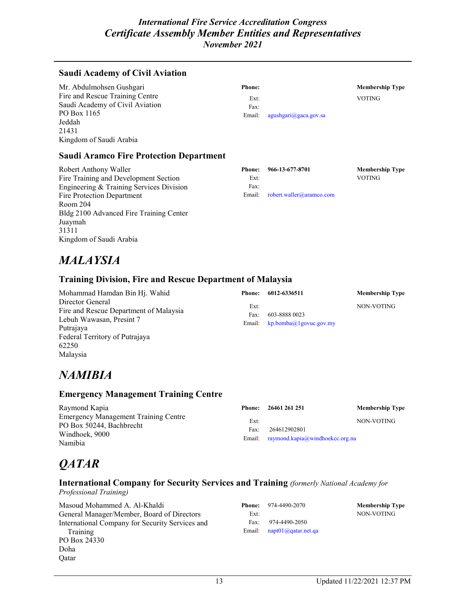### **Saudi Academy of Civil Aviation**

| Mr. Abdulmohsen Gushgari        | <b>Phone:</b> |                                | <b>Membership Type</b> |
|---------------------------------|---------------|--------------------------------|------------------------|
| Fire and Rescue Training Centre | Ext:          |                                | <b>VOTING</b>          |
| Saudi Academy of Civil Aviation | Fax:          |                                |                        |
| PO Box 1165                     | Email:        | $agushgari(\omega)gaca.gov.sa$ |                        |
| Jeddah                          |               |                                |                        |
| 21431                           |               |                                |                        |
| Kingdom of Saudi Arabia         |               |                                |                        |

#### **Saudi Aramco Fire Protection Department**

| Robert Anthony Waller                    | <b>Phone:</b> | 966-13-677-8701          | <b>Membership Type</b> |
|------------------------------------------|---------------|--------------------------|------------------------|
| Fire Training and Development Section    | Ext:          |                          | VOTING                 |
| Engineering & Training Services Division | Fax:          |                          |                        |
| Fire Protection Department               | Email:        | robert.waller@aramco.com |                        |
| Room 204                                 |               |                          |                        |
| Bldg 2100 Advanced Fire Training Center  |               |                          |                        |
| Juaymah                                  |               |                          |                        |
| 31311                                    |               |                          |                        |
| Kingdom of Saudi Arabia                  |               |                          |                        |

## *MALAYSIA*

#### **Training Division, Fire and Rescue Department of Malaysia**

| Mohammad Hamdan Bin Hj. Wahid                              | Phone:       | 6012-6336511                    | <b>Membership Type</b> |
|------------------------------------------------------------|--------------|---------------------------------|------------------------|
| Director General<br>Fire and Rescue Department of Malaysia | Ext:<br>Fax: | 603-8888 0023                   | NON-VOTING             |
| Lebuh Wawasan, Presint 7<br>Putrajaya                      |              | Email: $kp.bomba@]qovuc.gov(my$ |                        |
| Federal Territory of Putrajaya                             |              |                                 |                        |

## *NAMIBIA*

62250 Malaysia

#### **Emergency Management Training Centre**

| Raymond Kapia                                                                                 | Phone:       | 26461 261 251                                          | <b>Membership Type</b> |
|-----------------------------------------------------------------------------------------------|--------------|--------------------------------------------------------|------------------------|
| Emergency Management Training Centre<br>PO Box 50244, Bachbrecht<br>Windhoek, 9000<br>Namibia | Ext:<br>Fax: | 264612902801<br>Email: raymond.kapia@windhoekcc.org.na | NON-VOTING             |

## *QATAR*

### **International Company for Security Services and Training** *(formerly National Academy for*

*Professional Training)*

| Masoud Mohammed A. Al-Khaldi<br>General Manager/Member, Board of Directors | Phone:<br>Ext: | 974-4490-2070              | <b>Membership Type</b><br>NON-VOTING |
|----------------------------------------------------------------------------|----------------|----------------------------|--------------------------------------|
| International Company for Security Services and                            | Fax:           | 974-4490-2050              |                                      |
| Training                                                                   | Email:         | $n$ apt $01$ @qatar.net.qa |                                      |
| PO Box 24330                                                               |                |                            |                                      |
| Doha                                                                       |                |                            |                                      |
| Oatar                                                                      |                |                            |                                      |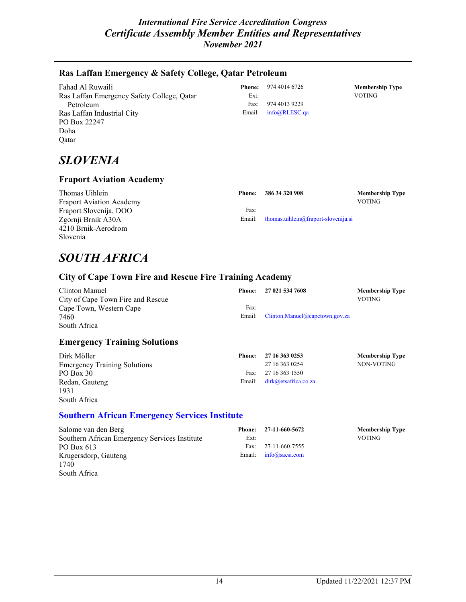### **Ras Laffan Emergency & Safety College, Qatar Petroleum**

| Fahad Al Ruwaili                           | Phone: | 974 4014 6726 | <b>Membership Type</b> |
|--------------------------------------------|--------|---------------|------------------------|
| Ras Laffan Emergency Safety College, Qatar | Ext:   |               | <b>VOTING</b>          |
| Petroleum                                  | Fax:   | 974 4013 9229 |                        |
| Ras Laffan Industrial City                 | Email: | info@RLESC.ga |                        |
| PO Box 22247                               |        |               |                        |
| Doha                                       |        |               |                        |
| Oatar                                      |        |               |                        |

## *SLOVENIA*

### **Fraport Aviation Academy**

| Thomas Uihlein                  | Phone: | 386 34 320 908                             | <b>Membership Type</b> |
|---------------------------------|--------|--------------------------------------------|------------------------|
| <b>Fraport Aviation Academy</b> |        |                                            | <b>VOTING</b>          |
| Fraport Slovenija, DOO          | Fax:   |                                            |                        |
| Zgornji Brnik A30A              |        | Email: thomas.uihlein@fraport-slovenija.si |                        |
| 4210 Brnik-Aerodrom             |        |                                            |                        |
| Slovenia                        |        |                                            |                        |

## *SOUTH AFRICA*

### **City of Cape Town Fire and Rescue Fire Training Academy**

| Clinton Manuel                    | Phone: | 27 021 534 7608                       | <b>Membership Type</b> |
|-----------------------------------|--------|---------------------------------------|------------------------|
| City of Cape Town Fire and Rescue |        |                                       | <b>VOTING</b>          |
| Cape Town, Western Cape           | Fax:   |                                       |                        |
| 7460                              |        | Email: Clinton.Manuel@capetown.gov.za |                        |
| South Africa                      |        |                                       |                        |

#### **Emergency Training Solutions**

| Dirk Möller                         | Phone: | 27 16 363 0253              | <b>Membership Type</b> |
|-------------------------------------|--------|-----------------------------|------------------------|
| <b>Emergency Training Solutions</b> |        | 27 16 363 0254              | NON-VOTING             |
| PO Box 30                           | Fax:   | 27 16 363 1550              |                        |
| Redan, Gauteng                      |        | Email: dirk@etsafrica.co.za |                        |
| 1931                                |        |                             |                        |
| South Africa                        |        |                             |                        |

#### **[Southern African Emergency Services Institute](http://www.saesi.com/)**

| Salome van den Berg                           | Phone: | 27-11-660-5672                  | <b>Membership Type</b> |
|-----------------------------------------------|--------|---------------------------------|------------------------|
| Southern African Emergency Services Institute | Ext:   |                                 | <b>VOTING</b>          |
| PO Box 613                                    | Fax:   | 27-11-660-7555                  |                        |
| Krugersdorp, Gauteng                          |        | Email: $info(\omega)$ saesi.com |                        |
| 1740                                          |        |                                 |                        |
| South Africa                                  |        |                                 |                        |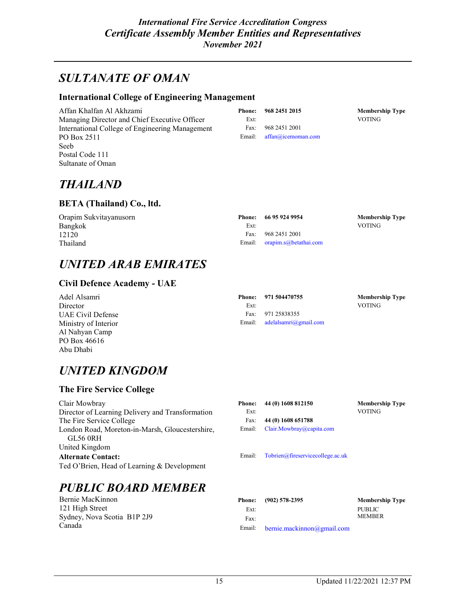## *SULTANATE OF OMAN*

#### **International College of Engineering Management**

Affan Khalfan Al Akhzami Managing Director and Chief Executive Officer International College of Engineering Management PO Box 2511 Seeb Postal Code 111 Sultanate of Oman

|      | Phone: 968 2451 2015      | <b>Membership Type</b> |
|------|---------------------------|------------------------|
| Ext: |                           | <b>VOTING</b>          |
|      | Fax: 968 2451 2001        |                        |
|      | Email: affan@icemoman.com |                        |

## *THAILAND*

#### **BETA (Thailand) Co., ltd.**

| Orapim Sukvitayanusorn |      | Phone: 66 95 924 9954        | Membership Type |
|------------------------|------|------------------------------|-----------------|
| Bangkok                | Ext: |                              | <b>VOTING</b>   |
| 12120                  |      | Fax: 968 2451 2001           |                 |
| Thailand               |      | Email: orapim.s@betathai.com |                 |

## *UNITED ARAB EMIRATES*

### **Civil Defence Academy - UAE**

| Adel Alsamri         |      | Phone: 971 504470755           | <b>Membership Type</b> |
|----------------------|------|--------------------------------|------------------------|
| Director             | Ext: |                                | <b>VOTING</b>          |
| UAE Civil Defense    | Fax: | 971 25838355                   |                        |
| Ministry of Interior |      | Email: $adelalsamri@gmail.com$ |                        |
| Al Nahyan Camp       |      |                                |                        |
| PO Box 46616         |      |                                |                        |

## *UNITED KINGDOM*

### **The Fire Service College**

Abu Dhabi

Clair Mowbray Director of Learning Delivery and Transformation The Fire Service College London Road, Moreton-in-Marsh, Gloucestershire, GL56 0RH United Kingdom **Alternate Contact:** Ted O'Brien, Head of Learning & Development

# *PUBLIC BOARD MEMBER*

Bernie MacKinnon 121 High Street Sydney, Nova Scotia B1P 2J9 Canada

|      | Phone: 44 (0) 1608 812150       | <b>Membership Type</b> |
|------|---------------------------------|------------------------|
| Ext: |                                 | <b>VOTING</b>          |
|      | Fax: $44(0)$ 1608 651788        |                        |
|      | Email: Clair.Mowbray@capita.com |                        |
|      |                                 |                        |

Email: [Tobrien@fireservicecollege.ac.uk](mailto:Tobrien@fireservicecollege.ac.uk)

|        | Phone: (902) 578-2395      | <b>Membership Type</b> |
|--------|----------------------------|------------------------|
| Ext:   |                            | PUBLIC                 |
| Fax:   |                            | <b>MEMBER</b>          |
| Email: | bernie.mackinnon@gmail.com |                        |

| 15 | Updated 11/22/2021 12:37 PM |
|----|-----------------------------|